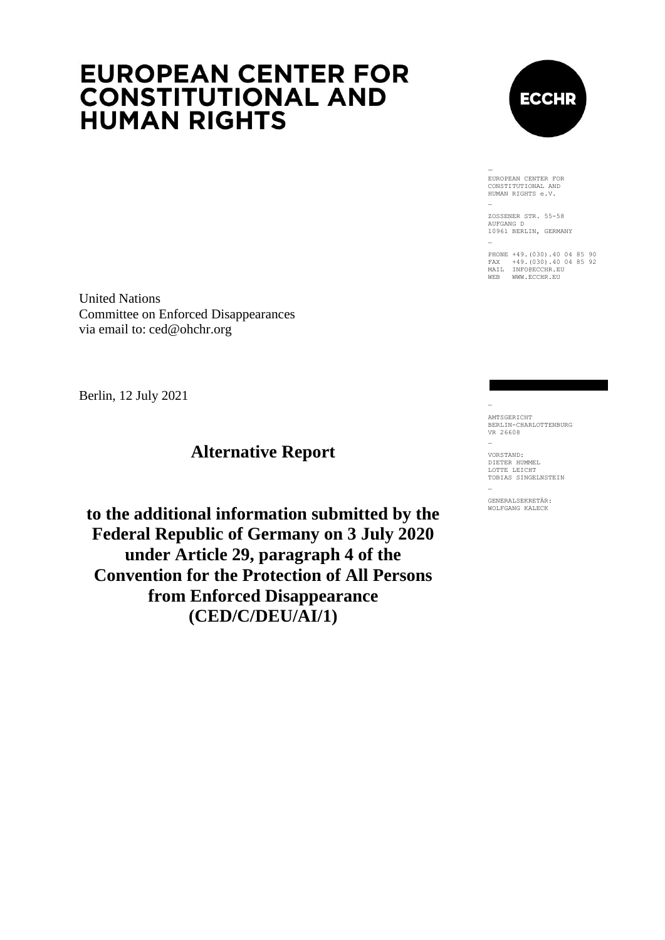# **EUROPEAN CENTER FOR CONSTITUTIONAL AND HUMAN RIGHTS**



EUROPEAN CENTER FOR CONSTITUTIONAL AND HUMAN RIGHTS e.V.

ZOSSENER STR. 55-58 AUFGANG D 10961 BERLIN, GERMANY

PHONE +49.(030).40 04 85 90 FAX +49.(030).40 04 85 92 MAIL INFO@ECCHR.EU WEB WWW.ECCHR.EU

United Nations Committee on Enforced Disappearances via email to: ced@ohchr.org

Berlin, 12 July 2021

## **Alternative Report**

**to the additional information submitted by the Federal Republic of Germany on 3 July 2020 under Article 29, paragraph 4 of the Convention for the Protection of All Persons from Enforced Disappearance (CED/C/DEU/AI/1)**

AMTSGERICHT BERLIN-CHARLOTTENBURG VR 26608

VORSTAND: DIETER HUMMEL LOTTE LEICHT TOBIAS SINGELNSTEIN

GENERALSEKRETÄR: WOLFGANG KALECK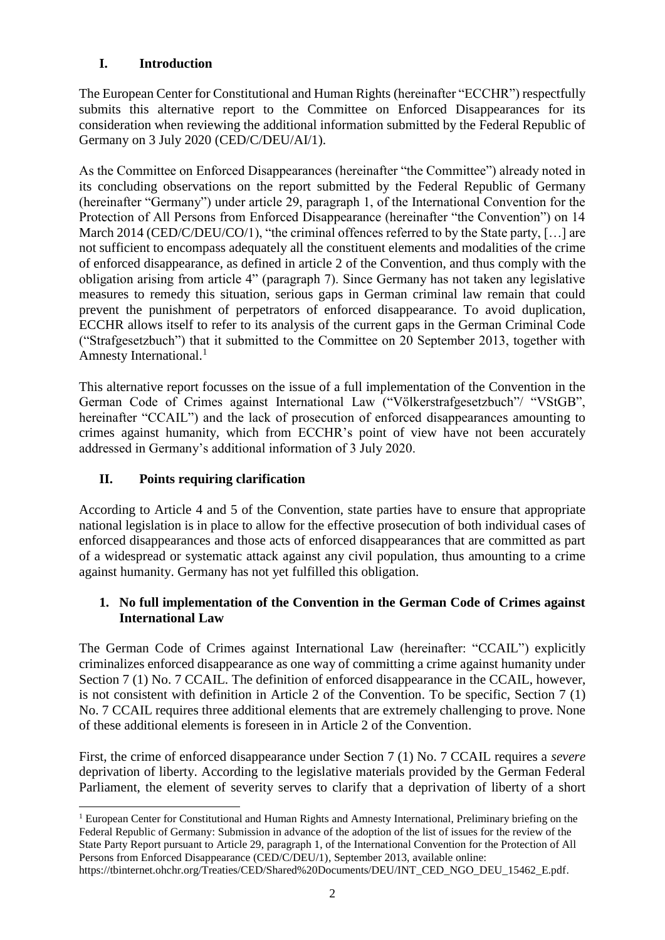### **I. Introduction**

The European Center for Constitutional and Human Rights (hereinafter "ECCHR") respectfully submits this alternative report to the Committee on Enforced Disappearances for its consideration when reviewing the additional information submitted by the Federal Republic of Germany on 3 July 2020 (CED/C/DEU/AI/1).

As the Committee on Enforced Disappearances (hereinafter "the Committee") already noted in its concluding observations on the report submitted by the Federal Republic of Germany (hereinafter "Germany") under article 29, paragraph 1, of the International Convention for the Protection of All Persons from Enforced Disappearance (hereinafter "the Convention") on 14 March 2014 (CED/C/DEU/CO/1), "the criminal offences referred to by the State party, [...] are not sufficient to encompass adequately all the constituent elements and modalities of the crime of enforced disappearance, as defined in article 2 of the Convention, and thus comply with the obligation arising from article 4" (paragraph 7). Since Germany has not taken any legislative measures to remedy this situation, serious gaps in German criminal law remain that could prevent the punishment of perpetrators of enforced disappearance. To avoid duplication, ECCHR allows itself to refer to its analysis of the current gaps in the German Criminal Code ("Strafgesetzbuch") that it submitted to the Committee on 20 September 2013, together with Amnesty International. 1

This alternative report focusses on the issue of a full implementation of the Convention in the German Code of Crimes against International Law ("Völkerstrafgesetzbuch"/ "VStGB", hereinafter "CCAIL") and the lack of prosecution of enforced disappearances amounting to crimes against humanity, which from ECCHR's point of view have not been accurately addressed in Germany's additional information of 3 July 2020.

### **II. Points requiring clarification**

According to Article 4 and 5 of the Convention, state parties have to ensure that appropriate national legislation is in place to allow for the effective prosecution of both individual cases of enforced disappearances and those acts of enforced disappearances that are committed as part of a widespread or systematic attack against any civil population, thus amounting to a crime against humanity. Germany has not yet fulfilled this obligation.

#### **1. No full implementation of the Convention in the German Code of Crimes against International Law**

The German Code of Crimes against International Law (hereinafter: "CCAIL") explicitly criminalizes enforced disappearance as one way of committing a crime against humanity under Section 7 (1) No. 7 CCAIL. The definition of enforced disappearance in the CCAIL, however, is not consistent with definition in Article 2 of the Convention. To be specific, Section 7 (1) No. 7 CCAIL requires three additional elements that are extremely challenging to prove. None of these additional elements is foreseen in in Article 2 of the Convention.

First, the crime of enforced disappearance under Section 7 (1) No. 7 CCAIL requires a *severe* deprivation of liberty. According to the legislative materials provided by the German Federal Parliament, the element of severity serves to clarify that a deprivation of liberty of a short

<sup>-</sup><sup>1</sup> European Center for Constitutional and Human Rights and Amnesty International, Preliminary briefing on the Federal Republic of Germany: Submission in advance of the adoption of the list of issues for the review of the State Party Report pursuant to Article 29, paragraph 1, of the International Convention for the Protection of All Persons from Enforced Disappearance (CED/C/DEU/1), September 2013, available online:

https://tbinternet.ohchr.org/Treaties/CED/Shared%20Documents/DEU/INT\_CED\_NGO\_DEU\_15462\_E.pdf.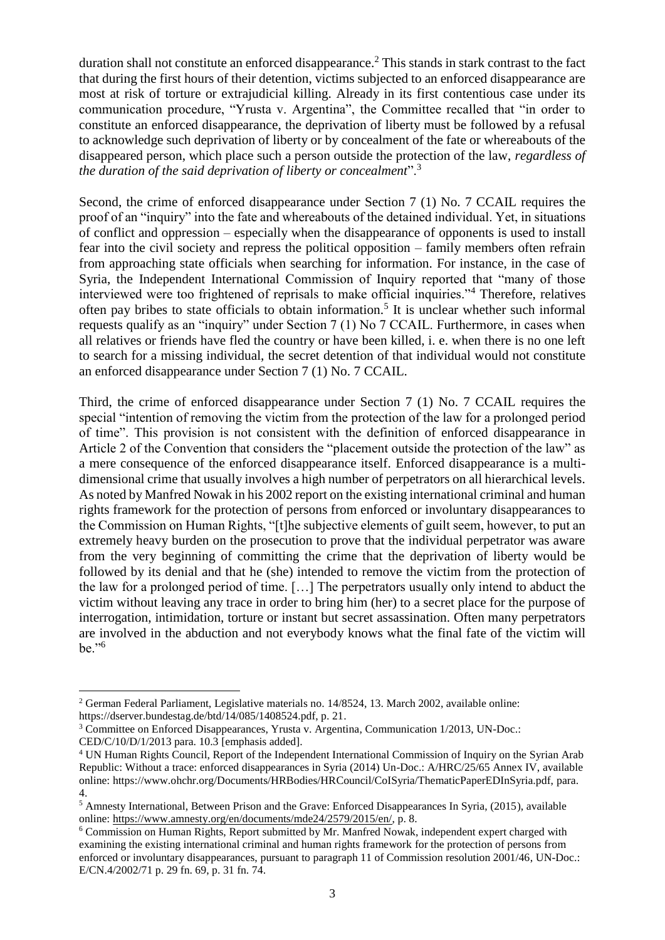duration shall not constitute an enforced disappearance.<sup>2</sup> This stands in stark contrast to the fact that during the first hours of their detention, victims subjected to an enforced disappearance are most at risk of torture or extrajudicial killing. Already in its first contentious case under its communication procedure, "Yrusta v. Argentina", the Committee recalled that "in order to constitute an enforced disappearance, the deprivation of liberty must be followed by a refusal to acknowledge such deprivation of liberty or by concealment of the fate or whereabouts of the disappeared person, which place such a person outside the protection of the law, *regardless of the duration of the said deprivation of liberty or concealment*".<sup>3</sup>

Second, the crime of enforced disappearance under Section 7 (1) No. 7 CCAIL requires the proof of an "inquiry" into the fate and whereabouts of the detained individual. Yet, in situations of conflict and oppression – especially when the disappearance of opponents is used to install fear into the civil society and repress the political opposition – family members often refrain from approaching state officials when searching for information. For instance, in the case of Syria, the Independent International Commission of Inquiry reported that "many of those interviewed were too frightened of reprisals to make official inquiries."<sup>4</sup> Therefore, relatives often pay bribes to state officials to obtain information.<sup>5</sup> It is unclear whether such informal requests qualify as an "inquiry" under Section 7 (1) No 7 CCAIL. Furthermore, in cases when all relatives or friends have fled the country or have been killed, i. e. when there is no one left to search for a missing individual, the secret detention of that individual would not constitute an enforced disappearance under Section 7 (1) No. 7 CCAIL.

Third, the crime of enforced disappearance under Section 7 (1) No. 7 CCAIL requires the special "intention of removing the victim from the protection of the law for a prolonged period of time". This provision is not consistent with the definition of enforced disappearance in Article 2 of the Convention that considers the "placement outside the protection of the law" as a mere consequence of the enforced disappearance itself. Enforced disappearance is a multidimensional crime that usually involves a high number of perpetrators on all hierarchical levels. As noted by Manfred Nowak in his 2002 report on the existing international criminal and human rights framework for the protection of persons from enforced or involuntary disappearances to the Commission on Human Rights, "[t]he subjective elements of guilt seem, however, to put an extremely heavy burden on the prosecution to prove that the individual perpetrator was aware from the very beginning of committing the crime that the deprivation of liberty would be followed by its denial and that he (she) intended to remove the victim from the protection of the law for a prolonged period of time. […] The perpetrators usually only intend to abduct the victim without leaving any trace in order to bring him (her) to a secret place for the purpose of interrogation, intimidation, torture or instant but secret assassination. Often many perpetrators are involved in the abduction and not everybody knows what the final fate of the victim will be."<sup>6</sup>

1

<sup>2</sup> German Federal Parliament, Legislative materials no. 14/8524, 13. March 2002, available online: https://dserver.bundestag.de/btd/14/085/1408524.pdf, p. 21.

<sup>3</sup> Committee on Enforced Disappearances, Yrusta v. Argentina, Communication 1/2013, UN-Doc.: CED/C/10/D/1/2013 para. 10.3 [emphasis added].

<sup>4</sup> UN Human Rights Council, Report of the Independent International Commission of Inquiry on the Syrian Arab Republic: Without a trace: enforced disappearances in Syria (2014) Un-Doc.: A/HRC/25/65 Annex IV, available online: https://www.ohchr.org/Documents/HRBodies/HRCouncil/CoISyria/ThematicPaperEDInSyria.pdf, para. 4.

<sup>&</sup>lt;sup>5</sup> Amnesty International, Between Prison and the Grave: Enforced Disappearances In Syria, (2015), available online: [https://www.amnesty.org/en/documents/mde24/2579/2015/en/,](https://www.amnesty.org/en/documents/mde24/2579/2015/en/) p. 8.

<sup>&</sup>lt;sup>6</sup> Commission on Human Rights, Report submitted by Mr. Manfred Nowak, independent expert charged with examining the existing international criminal and human rights framework for the protection of persons from enforced or involuntary disappearances, pursuant to paragraph 11 of Commission resolution 2001/46, UN-Doc.: E/CN.4/2002/71 p. 29 fn. 69, p. 31 fn. 74.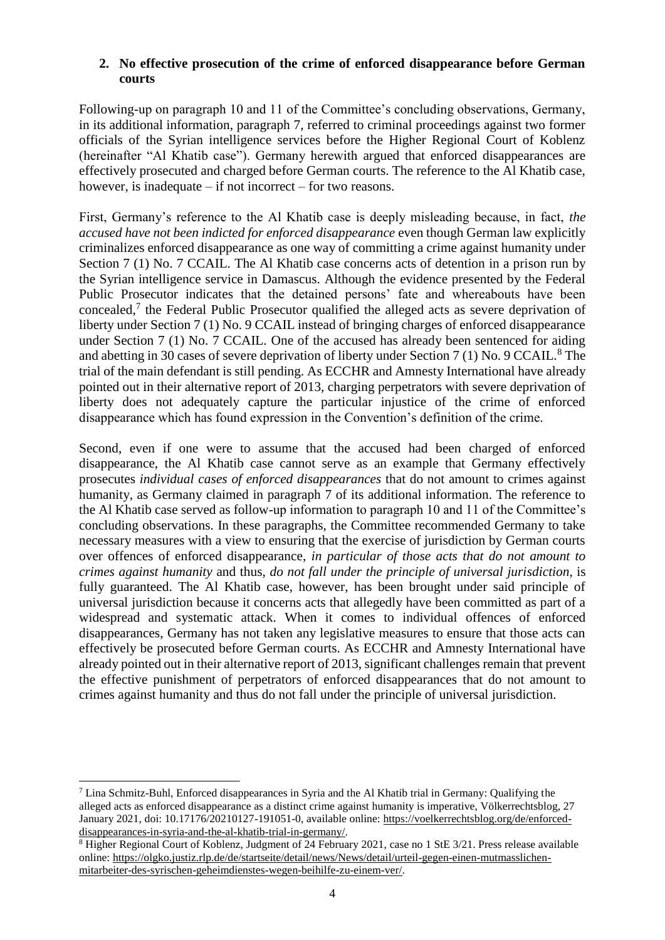#### **2. No effective prosecution of the crime of enforced disappearance before German courts**

Following-up on paragraph 10 and 11 of the Committee's concluding observations, Germany, in its additional information, paragraph 7, referred to criminal proceedings against two former officials of the Syrian intelligence services before the Higher Regional Court of Koblenz (hereinafter "Al Khatib case"). Germany herewith argued that enforced disappearances are effectively prosecuted and charged before German courts. The reference to the Al Khatib case, however, is inadequate – if not incorrect – for two reasons.

First, Germany's reference to the Al Khatib case is deeply misleading because, in fact, *the accused have not been indicted for enforced disappearance* even though German law explicitly criminalizes enforced disappearance as one way of committing a crime against humanity under Section 7 (1) No. 7 CCAIL. The Al Khatib case concerns acts of detention in a prison run by the Syrian intelligence service in Damascus. Although the evidence presented by the Federal Public Prosecutor indicates that the detained persons' fate and whereabouts have been concealed,<sup>7</sup> the Federal Public Prosecutor qualified the alleged acts as severe deprivation of liberty under Section 7 (1) No. 9 CCAIL instead of bringing charges of enforced disappearance under Section 7 (1) No. 7 CCAIL. One of the accused has already been sentenced for aiding and abetting in 30 cases of severe deprivation of liberty under Section 7 (1) No. 9 CCAIL.<sup>8</sup> The trial of the main defendant is still pending. As ECCHR and Amnesty International have already pointed out in their alternative report of 2013, charging perpetrators with severe deprivation of liberty does not adequately capture the particular injustice of the crime of enforced disappearance which has found expression in the Convention's definition of the crime.

Second, even if one were to assume that the accused had been charged of enforced disappearance, the Al Khatib case cannot serve as an example that Germany effectively prosecutes *individual cases of enforced disappearances* that do not amount to crimes against humanity, as Germany claimed in paragraph 7 of its additional information. The reference to the Al Khatib case served as follow-up information to paragraph 10 and 11 of the Committee's concluding observations. In these paragraphs, the Committee recommended Germany to take necessary measures with a view to ensuring that the exercise of jurisdiction by German courts over offences of enforced disappearance, *in particular of those acts that do not amount to crimes against humanity* and thus, *do not fall under the principle of universal jurisdiction*, is fully guaranteed. The Al Khatib case, however, has been brought under said principle of universal jurisdiction because it concerns acts that allegedly have been committed as part of a widespread and systematic attack. When it comes to individual offences of enforced disappearances, Germany has not taken any legislative measures to ensure that those acts can effectively be prosecuted before German courts. As ECCHR and Amnesty International have already pointed out in their alternative report of 2013, significant challenges remain that prevent the effective punishment of perpetrators of enforced disappearances that do not amount to crimes against humanity and thus do not fall under the principle of universal jurisdiction.

<sup>1</sup> <sup>7</sup> Lina Schmitz-Buhl, Enforced disappearances in Syria and the Al Khatib trial in Germany: Qualifying the alleged acts as enforced disappearance as a distinct crime against humanity is imperative, Völkerrechtsblog, 27 January 2021, doi: 10.17176/20210127-191051-0, available online: [https://voelkerrechtsblog.org/de/enforced](https://voelkerrechtsblog.org/de/enforced-disappearances-in-syria-and-the-al-khatib-trial-in-germany/)[disappearances-in-syria-and-the-al-khatib-trial-in-germany/.](https://voelkerrechtsblog.org/de/enforced-disappearances-in-syria-and-the-al-khatib-trial-in-germany/)

<sup>8</sup> Higher Regional Court of Koblenz, Judgment of 24 February 2021, case no 1 StE 3/21. Press release available online: [https://olgko.justiz.rlp.de/de/startseite/detail/news/News/detail/urteil-gegen-einen-mutmasslichen](https://olgko.justiz.rlp.de/de/startseite/detail/news/News/detail/urteil-gegen-einen-mutmasslichen-mitarbeiter-des-syrischen-geheimdienstes-wegen-beihilfe-zu-einem-ver/)[mitarbeiter-des-syrischen-geheimdienstes-wegen-beihilfe-zu-einem-ver/.](https://olgko.justiz.rlp.de/de/startseite/detail/news/News/detail/urteil-gegen-einen-mutmasslichen-mitarbeiter-des-syrischen-geheimdienstes-wegen-beihilfe-zu-einem-ver/)